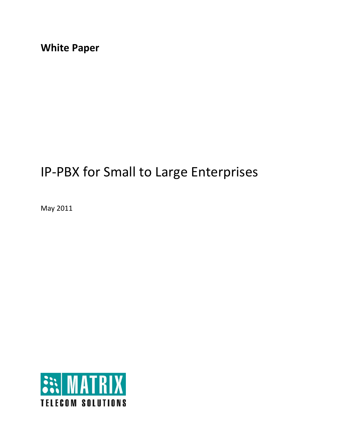**White Paper** 

# IP‐PBX for Small to Large Enterprises

May 2011

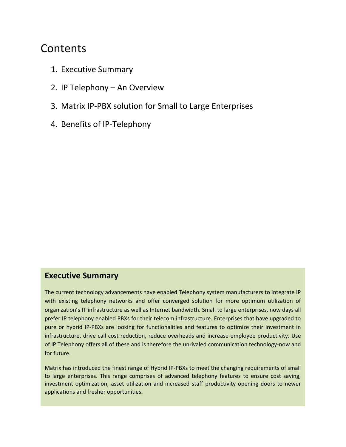## Contents

- 1. Executive Summary
- 2. IP Telephony An Overview
- 3. Matrix IP‐PBX solution for Small to Large Enterprises
- 4. Benefits of IP‐Telephony

## **Executive Summary**

The current technology advancements have enabled Telephony system manufacturers to integrate IP with existing telephony networks and offer converged solution for more optimum utilization of organization's IT infrastructure as well as Internet bandwidth. Small to large enterprises, now days all prefer IP telephony enabled PBXs for their telecom infrastructure. Enterprises that have upgraded to pure or hybrid IP‐PBXs are looking for functionalities and features to optimize their investment in infrastructure, drive call cost reduction, reduce overheads and increase employee productivity. Use of IP Telephony offers all of these and is therefore the unrivaled communication technology-now and for future.

Matrix has introduced the finest range of Hybrid IP‐PBXs to meet the changing requirements of small to large enterprises. This range comprises of advanced telephony features to ensure cost saving, investment optimization, asset utilization and increased staff productivity opening doors to newer applications and fresher opportunities.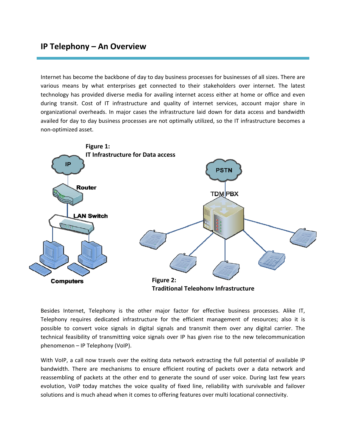## **IP Telephony – An Overview**

Internet has become the backbone of day to day business processes for businesses of all sizes. There are various means by what enterprises get connected to their stakeholders over internet. The latest technology has provided diverse media for availing internet access either at home or office and even during transit. Cost of IT infrastructure and quality of internet services, account major share in organizational overheads. In major cases the infrastructure laid down for data access and bandwidth availed for day to day business processes are not optimally utilized, so the IT infrastructure becomes a non‐optimized asset.



Besides Internet, Telephony is the other major factor for effective business processes. Alike IT, Telephony requires dedicated infrastructure for the efficient management of resources; also it is possible to convert voice signals in digital signals and transmit them over any digital carrier. The technical feasibility of transmitting voice signals over IP has given rise to the new telecommunication phenomenon – IP Telephony (VoIP).

With VoIP, a call now travels over the exiting data network extracting the full potential of available IP bandwidth. There are mechanisms to ensure efficient routing of packets over a data network and reassembling of packets at the other end to generate the sound of user voice. During last few years evolution, VoIP today matches the voice quality of fixed line, reliability with survivable and failover solutions and is much ahead when it comes to offering features over multi locational connectivity.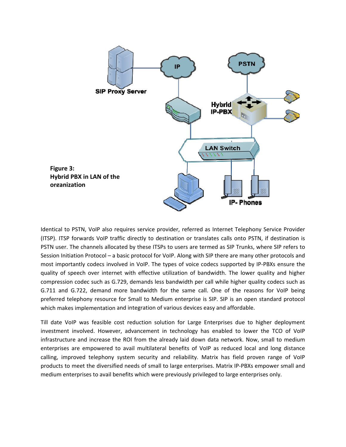

Identical to PSTN, VoIP also requires service provider, referred as Internet Telephony Service Provider (ITSP). ITSP forwards VoIP traffic directly to destination or translates calls onto PSTN, if destination is PSTN user. The channels allocated by these ITSPs to users are termed as SIP Trunks, where SIP refers to Session Initiation Protocol – a basic protocol for VoIP. Along with SIP there are many other protocols and most importantly codecs involved in VoIP. The types of voice codecs supported by IP‐PBXs ensure the quality of speech over internet with effective utilization of bandwidth. The lower quality and higher compression codec such as G.729, demands less bandwidth per call while higher quality codecs such as G.711 and G.722, demand more bandwidth for the same call. One of the reasons for VoIP being preferred telephony resource for Small to Medium enterprise is SIP. SIP is an open standard protocol which makes implementation and integration of various devices easy and affordable.

Till date VoIP was feasible cost reduction solution for Large Enterprises due to higher deployment investment involved. However, advancement in technology has enabled to lower the TCO of VoIP infrastructure and increase the ROI from the already laid down data network. Now, small to medium enterprises are empowered to avail multilateral benefits of VoIP as reduced local and long distance calling, improved telephony system security and reliability. Matrix has field proven range of VoIP products to meet the diversified needs of small to large enterprises. Matrix IP‐PBXs empower small and medium enterprises to avail benefits which were previously privileged to large enterprises only.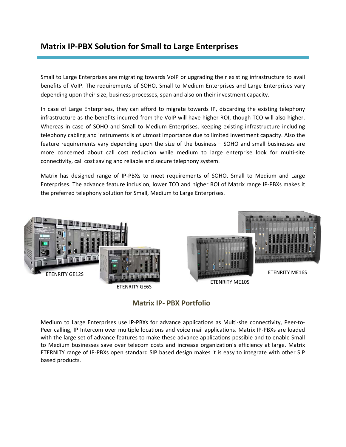## **Matrix IP‐PBX Solution for Small to Large Enterprises**

Small to Large Enterprises are migrating towards VoIP or upgrading their existing infrastructure to avail benefits of VoIP. The requirements of SOHO, Small to Medium Enterprises and Large Enterprises vary depending upon their size, business processes, span and also on their investment capacity.

In case of Large Enterprises, they can afford to migrate towards IP, discarding the existing telephony infrastructure as the benefits incurred from the VoIP will have higher ROI, though TCO will also higher. Whereas in case of SOHO and Small to Medium Enterprises, keeping existing infrastructure including telephony cabling and instruments is of utmost importance due to limited investment capacity. Also the feature requirements vary depending upon the size of the business – SOHO and small businesses are more concerned about call cost reduction while medium to large enterprise look for multi-site connectivity, call cost saving and reliable and secure telephony system.

Matrix has designed range of IP‐PBXs to meet requirements of SOHO, Small to Medium and Large Enterprises. The advance feature inclusion, lower TCO and higher ROI of Matrix range IP‐PBXs makes it the preferred telephony solution for Small, Medium to Large Enterprises.



### **Matrix IP‐ PBX Portfolio**

Medium to Large Enterprises use IP-PBXs for advance applications as Multi-site connectivity, Peer-to-Peer calling, IP Intercom over multiple locations and voice mail applications. Matrix IP‐PBXs are loaded with the large set of advance features to make these advance applications possible and to enable Small to Medium businesses save over telecom costs and increase organization's efficiency at large. Matrix ETERNITY range of IP‐PBXs open standard SIP based design makes it is easy to integrate with other SIP based products.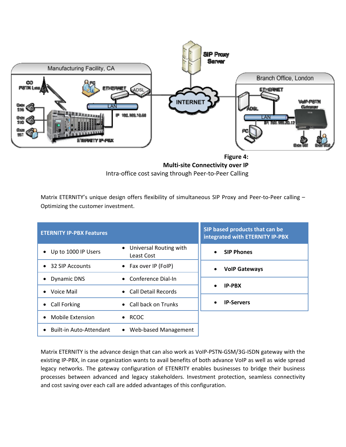

**Multi‐site Connectivity over IP** Intra‐office cost saving through Peer‐to‐Peer Calling

Matrix ETERNITY's unique design offers flexibility of simultaneous SIP Proxy and Peer-to-Peer calling – Optimizing the customer investment.

| <b>ETERNITY IP-PBX Features</b> |                                               | SIP based products that can be<br>integrated with ETERNITY IP-PBX |
|---------------------------------|-----------------------------------------------|-------------------------------------------------------------------|
| Up to 1000 IP Users             | • Universal Routing with<br><b>Least Cost</b> | <b>SIP Phones</b><br>$\bullet$                                    |
| • 32 SIP Accounts               | • Fax over IP (FoIP)                          | <b>VolP Gateways</b><br>$\bullet$                                 |
| <b>Dynamic DNS</b>              | $\bullet$ Conference Dial-In                  |                                                                   |
| Voice Mail                      | • Call Detail Records                         | <b>IP-PBX</b><br>$\bullet$                                        |
| Call Forking                    | • Call back on Trunks                         | <b>IP-Servers</b><br>$\bullet$                                    |
| <b>Mobile Extension</b>         | $\bullet$ RCOC                                |                                                                   |
| <b>Built-in Auto-Attendant</b>  | Web-based Management<br>$\bullet$             |                                                                   |

Matrix ETERNITY is the advance design that can also work as VoIP‐PSTN‐GSM/3G‐ISDN gateway with the existing IP‐PBX, in case organization wants to avail benefits of both advance VoIP as well as wide spread legacy networks. The gateway configuration of ETENRITY enables businesses to bridge their business processes between advanced and legacy stakeholders. Investment protection, seamless connectivity and cost saving over each call are added advantages of this configuration.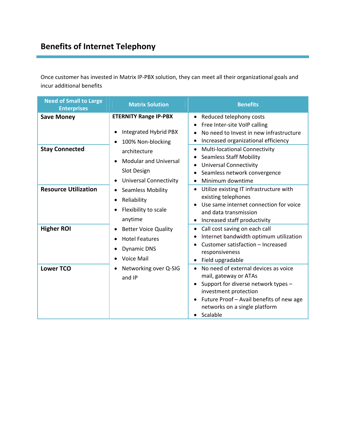## **Benefits of Internet Telephony**

Once customer has invested in Matrix IP‐PBX solution, they can meet all their organizational goals and incur additional benefits

| <b>Need of Small to Large</b><br><b>Enterprises</b> | <b>Matrix Solution</b>                                                                                                                                                                                                                                                                                                                             | <b>Benefits</b>                                                                                                                                                                                                                                        |
|-----------------------------------------------------|----------------------------------------------------------------------------------------------------------------------------------------------------------------------------------------------------------------------------------------------------------------------------------------------------------------------------------------------------|--------------------------------------------------------------------------------------------------------------------------------------------------------------------------------------------------------------------------------------------------------|
| <b>Save Money</b>                                   | <b>ETERNITY Range IP-PBX</b><br>Integrated Hybrid PBX<br>$\bullet$<br>100% Non-blocking<br>$\bullet$<br>architecture<br><b>Modular and Universal</b><br>$\bullet$<br><b>Slot Design</b><br><b>Universal Connectivity</b><br>$\bullet$<br><b>Seamless Mobility</b><br>٠<br>Reliability<br>$\bullet$<br>Flexibility to scale<br>$\bullet$<br>anytime | Reduced telephony costs<br>$\bullet$<br>Free Inter-site VoIP calling<br>No need to Invest in new infrastructure                                                                                                                                        |
| <b>Stay Connected</b>                               |                                                                                                                                                                                                                                                                                                                                                    | Increased organizational efficiency<br>$\bullet$<br><b>Multi-locational Connectivity</b><br>$\bullet$<br><b>Seamless Staff Mobility</b><br>$\bullet$<br><b>Universal Connectivity</b><br>Seamless network convergence<br>Minimum downtime<br>$\bullet$ |
| <b>Resource Utilization</b>                         |                                                                                                                                                                                                                                                                                                                                                    | Utilize existing IT infrastructure with<br>$\bullet$<br>existing telephones<br>Use same internet connection for voice<br>$\bullet$<br>and data transmission<br>Increased staff productivity<br>$\bullet$                                               |
| <b>Higher ROI</b>                                   | <b>Better Voice Quality</b><br>$\bullet$<br><b>Hotel Features</b><br><b>Dynamic DNS</b><br>$\bullet$<br>Voice Mail<br>$\bullet$                                                                                                                                                                                                                    | Call cost saving on each call<br>$\bullet$<br>Internet bandwidth optimum utilization<br>Customer satisfaction - Increased<br>responsiveness<br>Field upgradable                                                                                        |
| <b>Lower TCO</b>                                    | Networking over Q-SIG<br>$\bullet$<br>and IP                                                                                                                                                                                                                                                                                                       | No need of external devices as voice<br>mail, gateway or ATAs<br>Support for diverse network types -<br>investment protection<br>Future Proof - Avail benefits of new age<br>$\bullet$<br>networks on a single platform<br>Scalable<br>$\bullet$       |